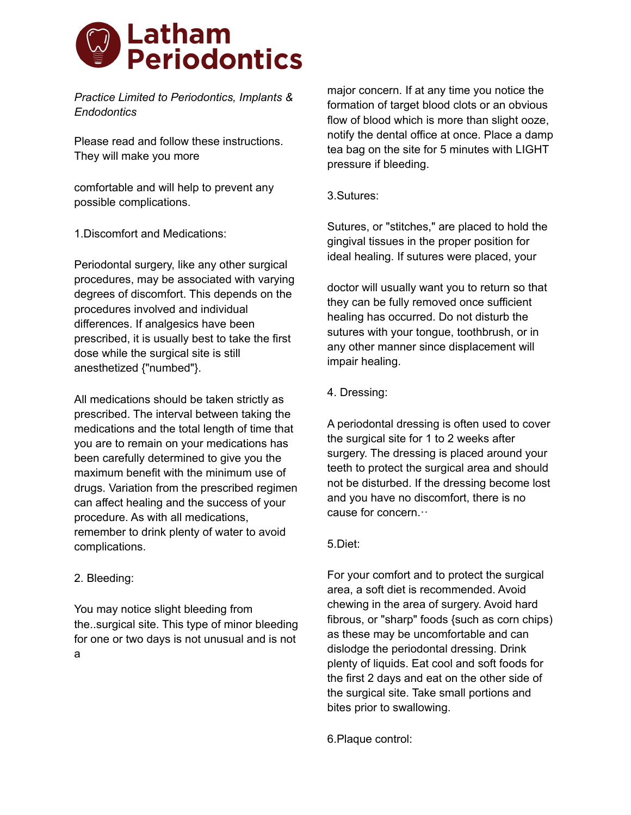

*Practice Limited to Periodontics, Implants & Endodontics*

Please read and follow these instructions. They will make you more

comfortable and will help to prevent any possible complications.

1.Discomfort and Medications:

Periodontal surgery, like any other surgical procedures, may be associated with varying degrees of discomfort. This depends on the procedures involved and individual differences. If analgesics have been prescribed, it is usually best to take the first dose while the surgical site is still anesthetized {"numbed"}.

All medications should be taken strictly as prescribed. The interval between taking the medications and the total length of time that you are to remain on your medications has been carefully determined to give you the maximum benefit with the minimum use of drugs. Variation from the prescribed regimen can affect healing and the success of your procedure. As with all medications, remember to drink plenty of water to avoid complications.

2. Bleeding:

You may notice slight bleeding from the..surgical site. This type of minor bleeding for one or two days is not unusual and is not a

major concern. If at any time you notice the formation of target blood clots or an obvious flow of blood which is more than slight ooze, notify the dental office at once. Place a damp tea bag on the site for 5 minutes with LIGHT pressure if bleeding.

3.Sutures:

Sutures, or "stitches," are placed to hold the gingival tissues in the proper position for ideal healing. If sutures were placed, your

doctor will usually want you to return so that they can be fully removed once sufficient healing has occurred. Do not disturb the sutures with your tongue, toothbrush, or in any other manner since displacement will impair healing.

4. Dressing:

A periodontal dressing is often used to cover the surgical site for 1 to 2 weeks after surgery. The dressing is placed around your teeth to protect the surgical area and should not be disturbed. If the dressing become lost and you have no discomfort, there is no cause for concern.··

## 5.Diet:

For your comfort and to protect the surgical area, a soft diet is recommended. Avoid chewing in the area of surgery. Avoid hard fibrous, or "sharp" foods {such as corn chips) as these may be uncomfortable and can dislodge the periodontal dressing. Drink plenty of liquids. Eat cool and soft foods for the first 2 days and eat on the other side of the surgical site. Take small portions and bites prior to swallowing.

6.Plaque control: